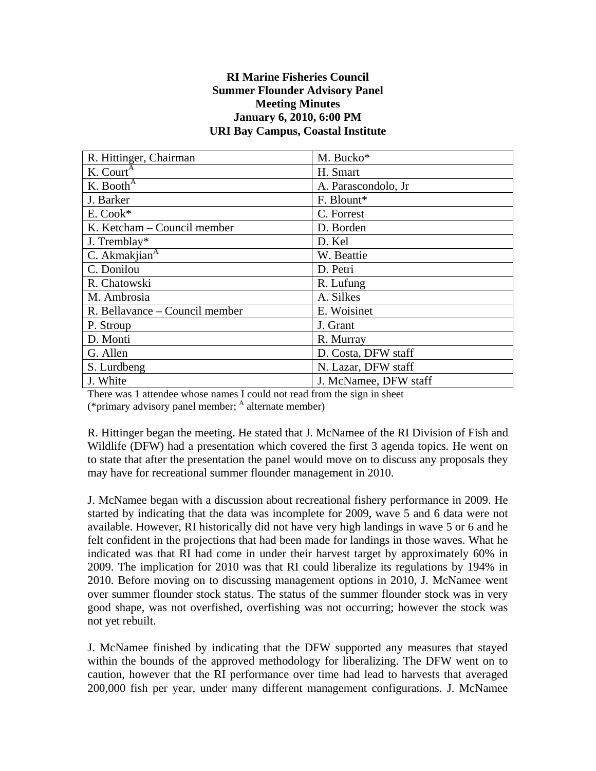## **RI Marine Fisheries Council Summer Flounder Advisory Panel Meeting Minutes January 6, 2010, 6:00 PM URI Bay Campus, Coastal Institute**

| R. Hittinger, Chairman         | M. Bucko*             |
|--------------------------------|-----------------------|
| K. Court $^{\overline{A}}$     | H. Smart              |
| K. Booth <sup>A</sup>          | A. Parascondolo, Jr.  |
| J. Barker                      | F. Blount*            |
| E. Cook*                       | C. Forrest            |
| K. Ketcham – Council member    | D. Borden             |
| J. Tremblay*                   | D. Kel                |
| C. Akmakjian $\overline{A}$    | W. Beattie            |
| C. Donilou                     | D. Petri              |
| R. Chatowski                   | R. Lufung             |
| M. Ambrosia                    | A. Silkes             |
| R. Bellavance – Council member | E. Woisinet           |
| P. Stroup                      | J. Grant              |
| D. Monti                       | R. Murray             |
| G. Allen                       | D. Costa, DFW staff   |
| S. Lurdbeng                    | N. Lazar, DFW staff   |
| J. White                       | J. McNamee, DFW staff |

There was 1 attendee whose names I could not read from the sign in sheet (\*primary advisory panel member; <sup>A</sup> alternate member)

R. Hittinger began the meeting. He stated that J. McNamee of the RI Division of Fish and Wildlife (DFW) had a presentation which covered the first 3 agenda topics. He went on to state that after the presentation the panel would move on to discuss any proposals they may have for recreational summer flounder management in 2010.

J. McNamee began with a discussion about recreational fishery performance in 2009. He started by indicating that the data was incomplete for 2009, wave 5 and 6 data were not available. However, RI historically did not have very high landings in wave 5 or 6 and he felt confident in the projections that had been made for landings in those waves. What he indicated was that RI had come in under their harvest target by approximately 60% in 2009. The implication for 2010 was that RI could liberalize its regulations by 194% in 2010. Before moving on to discussing management options in 2010, J. McNamee went over summer flounder stock status. The status of the summer flounder stock was in very good shape, was not overfished, overfishing was not occurring; however the stock was not yet rebuilt.

J. McNamee finished by indicating that the DFW supported any measures that stayed within the bounds of the approved methodology for liberalizing. The DFW went on to caution, however that the RI performance over time had lead to harvests that averaged 200,000 fish per year, under many different management configurations. J. McNamee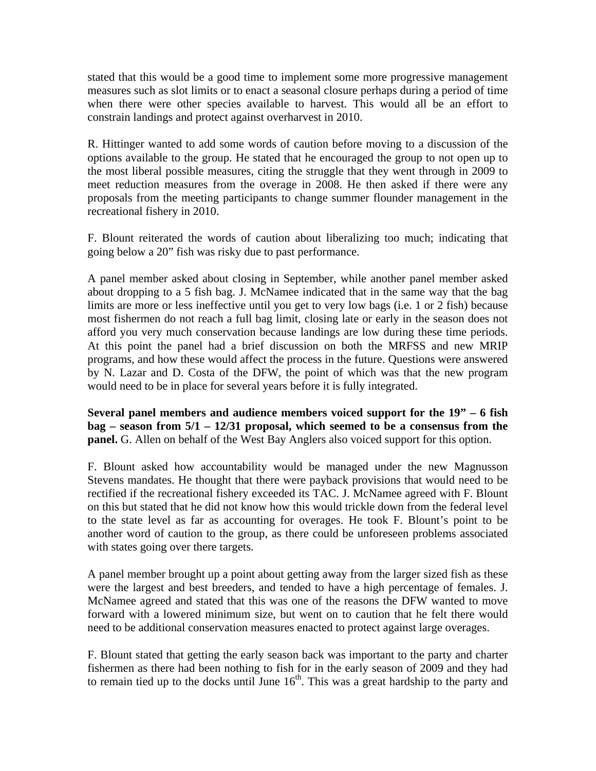stated that this would be a good time to implement some more progressive management measures such as slot limits or to enact a seasonal closure perhaps during a period of time when there were other species available to harvest. This would all be an effort to constrain landings and protect against overharvest in 2010.

R. Hittinger wanted to add some words of caution before moving to a discussion of the options available to the group. He stated that he encouraged the group to not open up to the most liberal possible measures, citing the struggle that they went through in 2009 to meet reduction measures from the overage in 2008. He then asked if there were any proposals from the meeting participants to change summer flounder management in the recreational fishery in 2010.

F. Blount reiterated the words of caution about liberalizing too much; indicating that going below a 20" fish was risky due to past performance.

A panel member asked about closing in September, while another panel member asked about dropping to a 5 fish bag. J. McNamee indicated that in the same way that the bag limits are more or less ineffective until you get to very low bags (i.e. 1 or 2 fish) because most fishermen do not reach a full bag limit, closing late or early in the season does not afford you very much conservation because landings are low during these time periods. At this point the panel had a brief discussion on both the MRFSS and new MRIP programs, and how these would affect the process in the future. Questions were answered by N. Lazar and D. Costa of the DFW, the point of which was that the new program would need to be in place for several years before it is fully integrated.

**Several panel members and audience members voiced support for the 19" – 6 fish bag – season from 5/1 – 12/31 proposal, which seemed to be a consensus from the panel.** G. Allen on behalf of the West Bay Anglers also voiced support for this option.

F. Blount asked how accountability would be managed under the new Magnusson Stevens mandates. He thought that there were payback provisions that would need to be rectified if the recreational fishery exceeded its TAC. J. McNamee agreed with F. Blount on this but stated that he did not know how this would trickle down from the federal level to the state level as far as accounting for overages. He took F. Blount's point to be another word of caution to the group, as there could be unforeseen problems associated with states going over there targets.

A panel member brought up a point about getting away from the larger sized fish as these were the largest and best breeders, and tended to have a high percentage of females. J. McNamee agreed and stated that this was one of the reasons the DFW wanted to move forward with a lowered minimum size, but went on to caution that he felt there would need to be additional conservation measures enacted to protect against large overages.

F. Blount stated that getting the early season back was important to the party and charter fishermen as there had been nothing to fish for in the early season of 2009 and they had to remain tied up to the docks until June  $16<sup>th</sup>$ . This was a great hardship to the party and